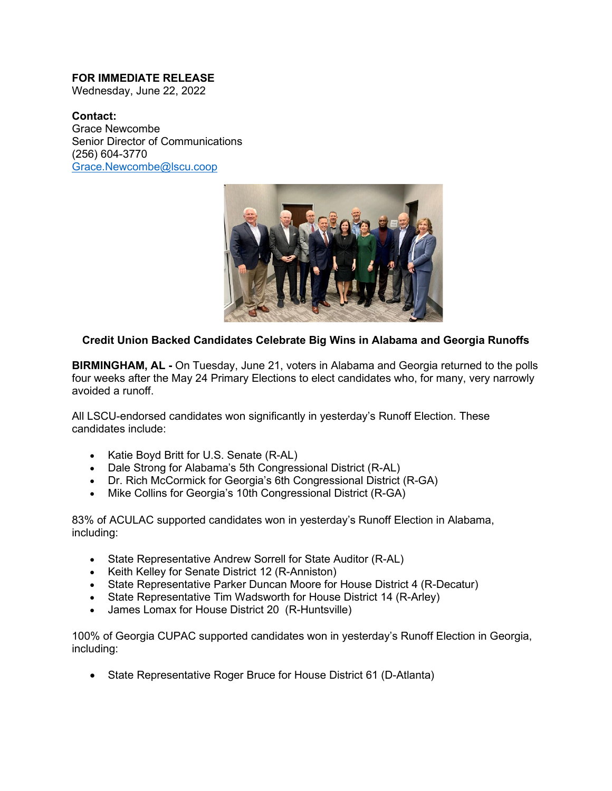## **FOR IMMEDIATE RELEASE**

Wednesday, June 22, 2022

## **Contact:**

Grace Newcombe Senior Director of Communications (256) 604-3770 [Grace.Newcombe@lscu.coop](mailto:Grace.Newcombe@lscu.coop)



## **Credit Union Backed Candidates Celebrate Big Wins in Alabama and Georgia Runoffs**

**BIRMINGHAM, AL -** On Tuesday, June 21, voters in Alabama and Georgia returned to the polls four weeks after the May 24 Primary Elections to elect candidates who, for many, very narrowly avoided a runoff.

All LSCU-endorsed candidates won significantly in yesterday's Runoff Election. These candidates include:

- Katie Boyd Britt for U.S. Senate (R-AL)
- Dale Strong for Alabama's 5th Congressional District (R-AL)
- Dr. Rich McCormick for Georgia's 6th Congressional District (R-GA)
- Mike Collins for Georgia's 10th Congressional District (R-GA)

83% of ACULAC supported candidates won in yesterday's Runoff Election in Alabama, including:

- State Representative Andrew Sorrell for State Auditor (R-AL)
- Keith Kelley for Senate District 12 (R-Anniston)
- State Representative Parker Duncan Moore for House District 4 (R-Decatur)
- State Representative Tim Wadsworth for House District 14 (R-Arley)
- James Lomax for House District 20 (R-Huntsville)

100% of Georgia CUPAC supported candidates won in yesterday's Runoff Election in Georgia, including:

• State Representative Roger Bruce for House District 61 (D-Atlanta)